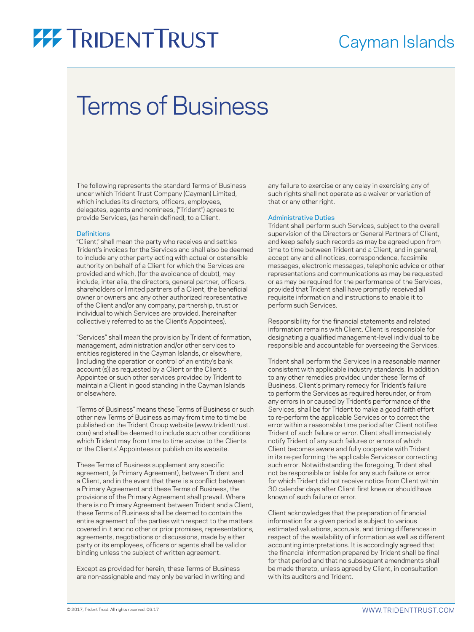### Cayman Islands

## Terms of Business

The following represents the standard Terms of Business under which Trident Trust Company (Cayman) Limited, which includes its directors, officers, employees, delegates, agents and nominees, ("Trident") agrees to provide Services, (as herein defined), to a Client.

#### **Definitions**

"Client," shall mean the party who receives and settles Trident's invoices for the Services and shall also be deemed to include any other party acting with actual or ostensible authority on behalf of a Client for which the Services are provided and which, (for the avoidance of doubt), may include, inter alia, the directors, general partner, officers, shareholders or limited partners of a Client, the beneficial owner or owners and any other authorized representative of the Client and/or any company, partnership, trust or individual to which Services are provided, (hereinafter collectively referred to as the Client's Appointees).

"Services" shall mean the provision by Trident of formation, management, administration and/or other services to entities registered in the Cayman Islands, or elsewhere, (including the operation or control of an entity's bank account (s)) as requested by a Client or the Client's Appointee or such other services provided by Trident to maintain a Client in good standing in the Cayman Islands or elsewhere.

"Terms of Business" means these Terms of Business or such other new Terms of Business as may from time to time be published on the Trident Group website (www.tridenttrust. com) and shall be deemed to include such other conditions which Trident may from time to time advise to the Clients or the Clients' Appointees or publish on its website.

These Terms of Business supplement any specific agreement, (a Primary Agreement), between Trident and a Client, and in the event that there is a conflict between a Primary Agreement and these Terms of Business, the provisions of the Primary Agreement shall prevail. Where there is no Primary Agreement between Trident and a Client, these Terms of Business shall be deemed to contain the entire agreement of the parties with respect to the matters covered in it and no other or prior promises, representations, agreements, negotiations or discussions, made by either party or its employees, officers or agents shall be valid or binding unless the subject of written agreement.

Except as provided for herein, these Terms of Business are non-assignable and may only be varied in writing and any failure to exercise or any delay in exercising any of such rights shall not operate as a waiver or variation of that or any other right.

#### Administrative Duties

Trident shall perform such Services, subject to the overall supervision of the Directors or General Partners of Client, and keep safely such records as may be agreed upon from time to time between Trident and a Client, and in general, accept any and all notices, correspondence, facsimile messages, electronic messages, telephonic advice or other representations and communications as may be requested or as may be required for the performance of the Services, provided that Trident shall have promptly received all requisite information and instructions to enable it to perform such Services.

Responsibility for the financial statements and related information remains with Client. Client is responsible for designating a qualified management-level individual to be responsible and accountable for overseeing the Services.

Trident shall perform the Services in a reasonable manner consistent with applicable industry standards. In addition to any other remedies provided under these Terms of Business, Client's primary remedy for Trident's failure to perform the Services as required hereunder, or from any errors in or caused by Trident's performance of the Services, shall be for Trident to make a good faith effort to re-perform the applicable Services or to correct the error within a reasonable time period after Client notifies Trident of such failure or error. Client shall immediately notify Trident of any such failures or errors of which Client becomes aware and fully cooperate with Trident in its re-performing the applicable Services or correcting such error. Notwithstanding the foregoing, Trident shall not be responsible or liable for any such failure or error for which Trident did not receive notice from Client within 30 calendar days after Client first knew or should have known of such failure or error.

Client acknowledges that the preparation of financial information for a given period is subject to various estimated valuations, accruals, and timing differences in respect of the availability of information as well as different accounting interpretations. It is accordingly agreed that the financial information prepared by Trident shall be final for that period and that no subsequent amendments shall be made thereto, unless agreed by Client, in consultation with its auditors and Trident.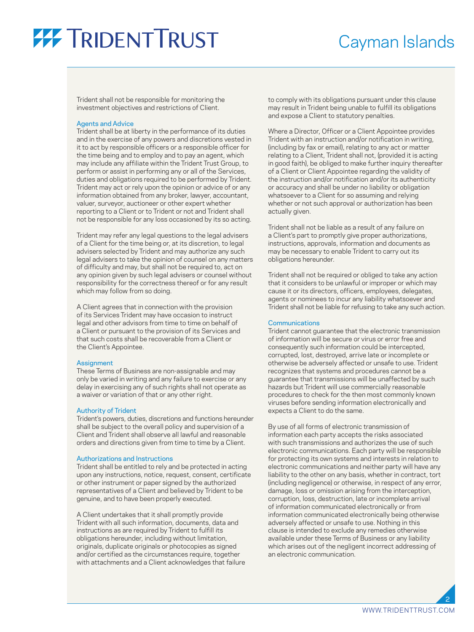### Cayman Islands

Trident shall not be responsible for monitoring the investment objectives and restrictions of Client.

#### Agents and Advice

Trident shall be at liberty in the performance of its duties and in the exercise of any powers and discretions vested in it to act by responsible officers or a responsible officer for the time being and to employ and to pay an agent, which may include any affiliate within the Trident Trust Group, to perform or assist in performing any or all of the Services, duties and obligations required to be performed by Trident. Trident may act or rely upon the opinion or advice of or any information obtained from any broker, lawyer, accountant, valuer, surveyor, auctioneer or other expert whether reporting to a Client or to Trident or not and Trident shall not be responsible for any loss occasioned by its so acting.

Trident may refer any legal questions to the legal advisers of a Client for the time being or, at its discretion, to legal advisers selected by Trident and may authorize any such legal advisers to take the opinion of counsel on any matters of difficulty and may, but shall not be required to, act on any opinion given by such legal advisers or counsel without responsibility for the correctness thereof or for any result which may follow from so doing.

A Client agrees that in connection with the provision of its Services Trident may have occasion to instruct legal and other advisors from time to time on behalf of a Client or pursuant to the provision of its Services and that such costs shall be recoverable from a Client or the Client's Appointee.

#### **Assignment**

These Terms of Business are non-assignable and may only be varied in writing and any failure to exercise or any delay in exercising any of such rights shall not operate as a waiver or variation of that or any other right.

#### Authority of Trident

Trident's powers, duties, discretions and functions hereunder shall be subject to the overall policy and supervision of a Client and Trident shall observe all lawful and reasonable orders and directions given from time to time by a Client.

#### Authorizations and Instructions

Trident shall be entitled to rely and be protected in acting upon any instructions, notice, request, consent, certificate or other instrument or paper signed by the authorized representatives of a Client and believed by Trident to be genuine, and to have been properly executed.

A Client undertakes that it shall promptly provide Trident with all such information, documents, data and instructions as are required by Trident to fulfill its obligations hereunder, including without limitation, originals, duplicate originals or photocopies as signed and/or certified as the circumstances require, together with attachments and a Client acknowledges that failure

to comply with its obligations pursuant under this clause may result in Trident being unable to fulfill its obligations and expose a Client to statutory penalties.

Where a Director, Officer or a Client Appointee provides Trident with an instruction and/or notification in writing, (including by fax or email), relating to any act or matter relating to a Client, Trident shall not, (provided it is acting in good faith), be obliged to make further inquiry thereafter of a Client or Client Appointee regarding the validity of the instruction and/or notification and/or its authenticity or accuracy and shall be under no liability or obligation whatsoever to a Client for so assuming and relying whether or not such approval or authorization has been actually given.

Trident shall not be liable as a result of any failure on a Client's part to promptly give proper authorizations, instructions, approvals, information and documents as may be necessary to enable Trident to carry out its obligations hereunder.

Trident shall not be required or obliged to take any action that it considers to be unlawful or improper or which may cause it or its directors, officers, employees, delegates, agents or nominees to incur any liability whatsoever and Trident shall not be liable for refusing to take any such action.

#### **Communications**

Trident cannot guarantee that the electronic transmission of information will be secure or virus or error free and consequently such information could be intercepted, corrupted, lost, destroyed, arrive late or incomplete or otherwise be adversely affected or unsafe to use. Trident recognizes that systems and procedures cannot be a guarantee that transmissions will be unaffected by such hazards but Trident will use commercially reasonable procedures to check for the then most commonly known viruses before sending information electronically and expects a Client to do the same.

By use of all forms of electronic transmission of information each party accepts the risks associated with such transmissions and authorizes the use of such electronic communications. Each party will be responsible for protecting its own systems and interests in relation to electronic communications and neither party will have any liability to the other on any basis, whether in contract, tort (including negligence) or otherwise, in respect of any error, damage, loss or omission arising from the interception, corruption, loss, destruction, late or incomplete arrival of information communicated electronically or from information communicated electronically being otherwise adversely affected or unsafe to use. Nothing in this clause is intended to exclude any remedies otherwise available under these Terms of Business or any liability which arises out of the negligent incorrect addressing of an electronic communication.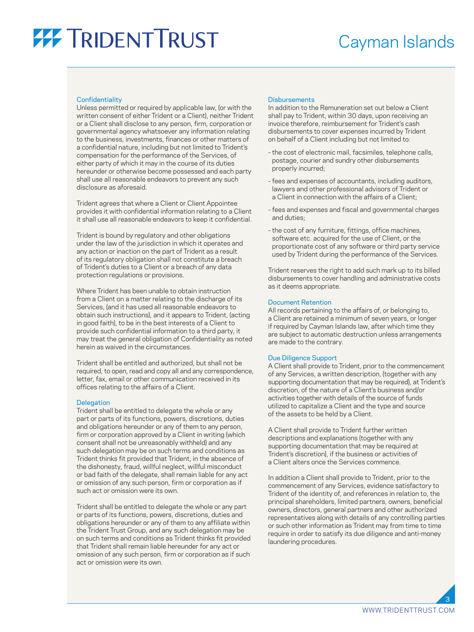### Cayman Islands

#### **Confidentiality**

Unless permitted or required by applicable law, (or with the written consent of either Trident or a Client), neither Trident or a Client shall disclose to any person, firm, corporation or governmental agency whatsoever any information relating to the business, investments, finances or other matters of a confidential nature, including but not limited to Trident's compensation for the performance of the Services, of either party of which it may in the course of its duties hereunder or otherwise become possessed and each party shall use all reasonable endeavors to prevent any such disclosure as aforesaid.

Trident agrees that where a Client or Client Appointee provides it with confidential information relating to a Client it shall use all reasonable endeavors to keep it confidential.

Trident is bound by regulatory and other obligations under the law of the jurisdiction in which it operates and any action or inaction on the part of Trident as a result of its regulatory obligation shall not constitute a breach of Trident's duties to a Client or a breach of any data protection regulations or provisions.

Where Trident has been unable to obtain instruction from a Client on a matter relating to the discharge of its Services, (and it has used all reasonable endeavors to obtain such instructions), and it appears to Trident, (acting in good faith), to be in the best interests of a Client to provide such confidential information to a third party, it may treat the general obligation of Confidentiality as noted herein as waived in the circumstances.

Trident shall be entitled and authorized, but shall not be required, to open, read and copy all and any correspondence, letter, fax, email or other communication received in its offices relating to the affairs of a Client.

#### **Delegation**

Trident shall be entitled to delegate the whole or any part or parts of its functions, powers, discretions, duties and obligations hereunder or any of them to any person, firm or corporation approved by a Client in writing (which consent shall not be unreasonably withheld) and any such delegation may be on such terms and conditions as Trident thinks fit provided that Trident, in the absence of the dishonesty, fraud, willful neglect, willful misconduct or bad faith of the delegate, shall remain liable for any act or omission of any such person, firm or corporation as if such act or omission were its own.

Trident shall be entitled to delegate the whole or any part or parts of its functions, powers, discretions, duties and obligations hereunder or any of them to any affiliate within the Trident Trust Group, and any such delegation may be on such terms and conditions as Trident thinks fit provided that Trident shall remain liable hereunder for any act or omission of any such person, firm or corporation as if such act or omission were its own.

#### **Disbursements**

In addition to the Remuneration set out below a Client shall pay to Trident, within 30 days, upon receiving an invoice therefore, reimbursement for Trident's cash disbursements to cover expenses incurred by Trident on behalf of a Client including but not limited to:

- the cost of electronic mail, facsimiles, telephone calls, postage, courier and sundry other disbursements properly incurred;
- fees and expenses of accountants, including auditors, lawyers and other professional advisors of Trident or a Client in connection with the affairs of a Client;
- fees and expenses and fiscal and governmental charges and duties;
- the cost of any furniture, fittings, office machines, software etc. acquired for the use of Client, or the proportionate cost of any software or third party service used by Trident during the performance of the Services.

Trident reserves the right to add such mark up to its billed disbursements to cover handling and administrative costs as it deems appropriate.

#### Document Retention

All records pertaining to the affairs of, or belonging to, a Client are retained a minimum of seven years, or longer if required by Cayman Islands law, after which time they are subject to automatic destruction unless arrangements are made to the contrary.

#### Due Diligence Support

A Client shall provide to Trident, prior to the commencement of any Services, a written description, (together with any supporting documentation that may be required), at Trident's discretion, of the nature of a Client's business and/or activities together with details of the source of funds utilized to capitalize a Client and the type and source of the assets to be held by a Client.

A Client shall provide to Trident further written descriptions and explanations (together with any supporting documentation that may be required at Trident's discretion), if the business or activities of a Client alters once the Services commence.

In addition a Client shall provide to Trident, prior to the commencement of any Services, evidence satisfactory to Trident of the identity of, and references in relation to, the principal shareholders, limited partners, owners, beneficial owners, directors, general partners and other authorized representatives along with details of any controlling parties or such other information as Trident may from time to time require in order to satisfy its due diligence and anti-money laundering procedures.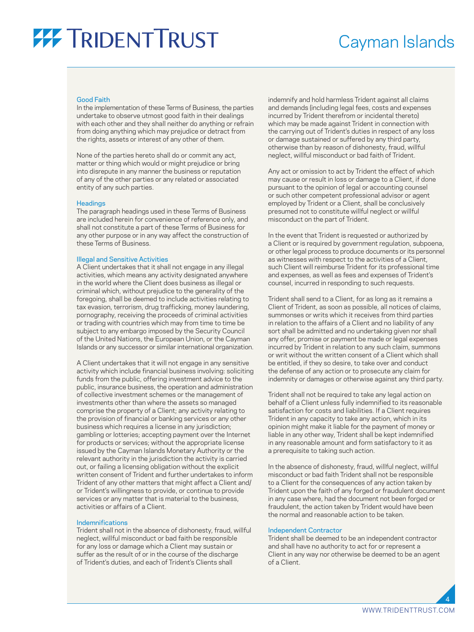### Cayman Islands

#### Good Faith

In the implementation of these Terms of Business, the parties undertake to observe utmost good faith in their dealings with each other and they shall neither do anything or refrain from doing anything which may prejudice or detract from the rights, assets or interest of any other of them.

None of the parties hereto shall do or commit any act, matter or thing which would or might prejudice or bring into disrepute in any manner the business or reputation of any of the other parties or any related or associated entity of any such parties.

#### **Headings**

The paragraph headings used in these Terms of Business are included herein for convenience of reference only, and shall not constitute a part of these Terms of Business for any other purpose or in any way affect the construction of these Terms of Business.

#### Illegal and Sensitive Activities

A Client undertakes that it shall not engage in any illegal activities, which means any activity designated anywhere in the world where the Client does business as illegal or criminal which, without prejudice to the generality of the foregoing, shall be deemed to include activities relating to tax evasion, terrorism, drug trafficking, money laundering, pornography, receiving the proceeds of criminal activities or trading with countries which may from time to time be subject to any embargo imposed by the Security Council of the United Nations, the European Union, or the Cayman Islands or any successor or similar international organization.

A Client undertakes that it will not engage in any sensitive activity which include financial business involving: soliciting funds from the public, offering investment advice to the public, insurance business, the operation and administration of collective investment schemes or the management of investments other than where the assets so managed comprise the property of a Client; any activity relating to the provision of financial or banking services or any other business which requires a license in any jurisdiction; gambling or lotteries; accepting payment over the Internet for products or services; without the appropriate license issued by the Cayman Islands Monetary Authority or the relevant authority in the jurisdiction the activity is carried out, or failing a licensing obligation without the explicit written consent of Trident and further undertakes to inform Trident of any other matters that might affect a Client and/ or Trident's willingness to provide, or continue to provide services or any matter that is material to the business, activities or affairs of a Client.

#### Indemnifications

Trident shall not in the absence of dishonesty, fraud, willful neglect, willful misconduct or bad faith be responsible for any loss or damage which a Client may sustain or suffer as the result of or in the course of the discharge of Trident's duties, and each of Trident's Clients shall

indemnify and hold harmless Trident against all claims and demands (including legal fees, costs and expenses incurred by Trident therefrom or incidental thereto) which may be made against Trident in connection with the carrying out of Trident's duties in respect of any loss or damage sustained or suffered by any third party, otherwise than by reason of dishonesty, fraud, willful neglect, willful misconduct or bad faith of Trident.

Any act or omission to act by Trident the effect of which may cause or result in loss or damage to a Client, if done pursuant to the opinion of legal or accounting counsel or such other competent professional advisor or agent employed by Trident or a Client, shall be conclusively presumed not to constitute willful neglect or willful misconduct on the part of Trident.

In the event that Trident is requested or authorized by a Client or is required by government regulation, subpoena, or other legal process to produce documents or its personnel as witnesses with respect to the activities of a Client, such Client will reimburse Trident for its professional time and expenses, as well as fees and expenses of Trident's counsel, incurred in responding to such requests.

Trident shall send to a Client, for as long as it remains a Client of Trident, as soon as possible, all notices of claims, summonses or writs which it receives from third parties in relation to the affairs of a Client and no liability of any sort shall be admitted and no undertaking given nor shall any offer, promise or payment be made or legal expenses incurred by Trident in relation to any such claim, summons or writ without the written consent of a Client which shall be entitled, if they so desire, to take over and conduct the defense of any action or to prosecute any claim for indemnity or damages or otherwise against any third party.

Trident shall not be required to take any legal action on behalf of a Client unless fully indemnified to its reasonable satisfaction for costs and liabilities. If a Client requires Trident in any capacity to take any action, which in its opinion might make it liable for the payment of money or liable in any other way, Trident shall be kept indemnified in any reasonable amount and form satisfactory to it as a prerequisite to taking such action.

In the absence of dishonesty, fraud, willful neglect, willful misconduct or bad faith Trident shall not be responsible to a Client for the consequences of any action taken by Trident upon the faith of any forged or fraudulent document in any case where, had the document not been forged or fraudulent, the action taken by Trident would have been the normal and reasonable action to be taken.

#### Independent Contractor

Trident shall be deemed to be an independent contractor and shall have no authority to act for or represent a Client in any way nor otherwise be deemed to be an agent of a Client.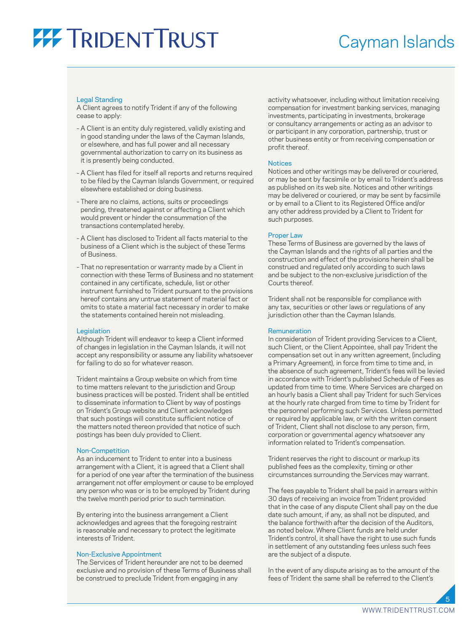### Cayman Islands

#### Legal Standing

A Client agrees to notify Trident if any of the following cease to apply:

- A Client is an entity duly registered, validly existing and in good standing under the laws of the Cayman Islands, or elsewhere, and has full power and all necessary governmental authorization to carry on its business as it is presently being conducted.
- A Client has filed for itself all reports and returns required to be filed by the Cayman Islands Government, or required elsewhere established or doing business.
- There are no claims, actions, suits or proceedings pending, threatened against or affecting a Client which would prevent or hinder the consummation of the transactions contemplated hereby.
- A Client has disclosed to Trident all facts material to the business of a Client which is the subject of these Terms of Business.
- That no representation or warranty made by a Client in connection with these Terms of Business and no statement contained in any certificate, schedule, list or other instrument furnished to Trident pursuant to the provisions hereof contains any untrue statement of material fact or omits to state a material fact necessary in order to make the statements contained herein not misleading.

#### **Legislation**

Although Trident will endeavor to keep a Client informed of changes in legislation in the Cayman Islands, it will not accept any responsibility or assume any liability whatsoever for failing to do so for whatever reason.

Trident maintains a Group website on which from time to time matters relevant to the jurisdiction and Group business practices will be posted. Trident shall be entitled to disseminate information to Client by way of postings on Trident's Group website and Client acknowledges that such postings will constitute sufficient notice of the matters noted thereon provided that notice of such postings has been duly provided to Client.

#### Non-Competition

As an inducement to Trident to enter into a business arrangement with a Client, it is agreed that a Client shall for a period of one year after the termination of the business arrangement not offer employment or cause to be employed any person who was or is to be employed by Trident during the twelve month period prior to such termination.

By entering into the business arrangement a Client acknowledges and agrees that the foregoing restraint is reasonable and necessary to protect the legitimate interests of Trident.

#### Non-Exclusive Appointment

The Services of Trident hereunder are not to be deemed exclusive and no provision of these Terms of Business shall be construed to preclude Trident from engaging in any

activity whatsoever, including without limitation receiving compensation for investment banking services, managing investments, participating in investments, brokerage or consultancy arrangements or acting as an advisor to or participant in any corporation, partnership, trust or other business entity or from receiving compensation or profit thereof.

#### **Notices**

Notices and other writings may be delivered or couriered, or may be sent by facsimile or by email to Trident's address as published on its web site. Notices and other writings may be delivered or couriered, or may be sent by facsimile or by email to a Client to its Registered Office and/or any other address provided by a Client to Trident for such purposes.

#### Proper Law

These Terms of Business are governed by the laws of the Cayman Islands and the rights of all parties and the construction and effect of the provisions herein shall be construed and regulated only according to such laws and be subject to the non-exclusive jurisdiction of the Courts thereof.

Trident shall not be responsible for compliance with any tax, securities or other laws or regulations of any jurisdiction other than the Cayman Islands.

#### Remuneration

In consideration of Trident providing Services to a Client, such Client, or the Client Appointee, shall pay Trident the compensation set out in any written agreement, (including a Primary Agreement), in force from time to time and, in the absence of such agreement, Trident's fees will be levied in accordance with Trident's published Schedule of Fees as updated from time to time. Where Services are charged on an hourly basis a Client shall pay Trident for such Services at the hourly rate charged from time to time by Trident for the personnel performing such Services. Unless permitted or required by applicable law, or with the written consent of Trident, Client shall not disclose to any person, firm, corporation or governmental agency whatsoever any information related to Trident's compensation.

Trident reserves the right to discount or markup its published fees as the complexity, timing or other circumstances surrounding the Services may warrant.

The fees payable to Trident shall be paid in arrears within 30 days of receiving an invoice from Trident provided that in the case of any dispute Client shall pay on the due date such amount, if any, as shall not be disputed, and the balance forthwith after the decision of the Auditors, as noted below. Where Client funds are held under Trident's control, it shall have the right to use such funds in settlement of any outstanding fees unless such fees are the subject of a dispute.

In the event of any dispute arising as to the amount of the fees of Trident the same shall be referred to the Client's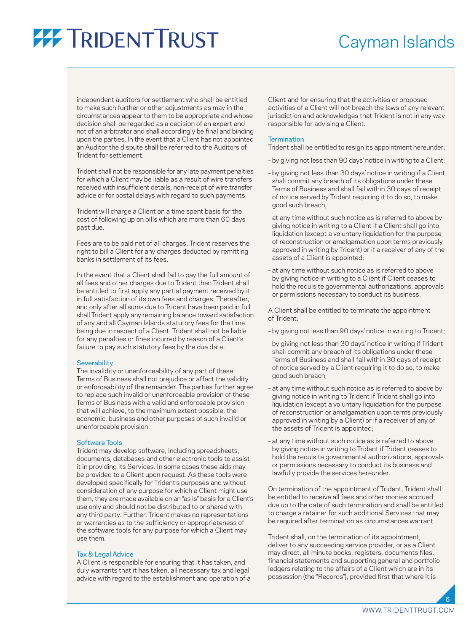### Cayman Islands

independent auditors for settlement who shall be entitled to make such further or other adjustments as may in the circumstances appear to them to be appropriate and whose decision shall be regarded as a decision of an expert and not of an arbitrator and shall accordingly be final and binding upon the parties. In the event that a Client has not appointed an Auditor the dispute shall be referred to the Auditors of Trident for settlement.

Trident shall not be responsible for any late payment penalties for which a Client may be liable as a result of wire transfers received with insufficient details, non-receipt of wire transfer advice or for postal delays with regard to such payments.

Trident will charge a Client on a time spent basis for the cost of following up on bills which are more than 60 days past due.

Fees are to be paid net of all charges. Trident reserves the right to bill a Client for any charges deducted by remitting banks in settlement of its fees.

In the event that a Client shall fail to pay the full amount of all fees and other charges due to Trident then Trident shall be entitled to first apply any partial payment received by it in full satisfaction of its own fees and charges. Thereafter, and only after all sums due to Trident have been paid in full shall Trident apply any remaining balance toward satisfaction of any and all Cayman Islands statutory fees for the time being due in respect of a Client. Trident shall not be liable for any penalties or fines incurred by reason of a Client's failure to pay such statutory fees by the due date.

#### **Severability**

The invalidity or unenforceability of any part of these Terms of Business shall not prejudice or affect the validity or enforceability of the remainder. The parties further agree to replace such invalid or unenforceable provision of these Terms of Business with a valid and enforceable provision that will achieve, to the maximum extent possible, the economic, business and other purposes of such invalid or unenforceable provision.

#### Software Tools

Trident may develop software, including spreadsheets, documents, databases and other electronic tools to assist it in providing its Services. In some cases these aids may be provided to a Client upon request. As these tools were developed specifically for Trident's purposes and without consideration of any purpose for which a Client might use them, they are made available on an "as is" basis for a Client's use only and should not be distributed to or shared with any third party. Further, Trident makes no representations or warranties as to the sufficiency or appropriateness of the software tools for any purpose for which a Client may use them.

#### Tax & Legal Advice

A Client is responsible for ensuring that it has taken, and duly warrants that it has taken, all necessary tax and legal advice with regard to the establishment and operation of a

Client and for ensuring that the activities or proposed activities of a Client will not breach the laws of any relevant jurisdiction and acknowledges that Trident is not in any way responsible for advising a Client.

#### **Termination**

Trident shall be entitled to resign its appointment hereunder:

- by giving not less than 90 days' notice in writing to a Client;
- by giving not less than 30 days' notice in writing if a Client shall commit any breach of its obligations under these Terms of Business and shall fail within 30 days of receipt of notice served by Trident requiring it to do so, to make good such breach;
- at any time without such notice as is referred to above by giving notice in writing to a Client if a Client shall go into liquidation (except a voluntary liquidation for the purpose of reconstruction or amalgamation upon terms previously approved in writing by Trident) or if a receiver of any of the assets of a Client is appointed;
- at any time without such notice as is referred to above by giving notice in writing to a Client if Client ceases to hold the requisite governmental authorizations, approvals or permissions necessary to conduct its business.

A Client shall be entitled to terminate the appointment of Trident:

- by giving not less than 90 days' notice in writing to Trident;
- by giving not less than 30 days' notice in writing if Trident shall commit any breach of its obligations under these Terms of Business and shall fail within 30 days of receipt of notice served by a Client requiring it to do so, to make good such breach;
- at any time without such notice as is referred to above by giving notice in writing to Trident if Trident shall go into liquidation (except a voluntary liquidation for the purpose of reconstruction or amalgamation upon terms previously approved in writing by a Client) or if a receiver of any of the assets of Trident is appointed;
- at any time without such notice as is referred to above by giving notice in writing to Trident if Trident ceases to hold the requisite governmental authorizations, approvals or permissions necessary to conduct its business and lawfully provide the services hereunder.

On termination of the appointment of Trident, Trident shall be entitled to receive all fees and other monies accrued due up to the date of such termination and shall be entitled to charge a retainer for such additional Services that may be required after termination as circumstances warrant.

Trident shall, on the termination of its appointment, deliver to any succeeding service provider, or as a Client may direct, all minute books, registers, documents files, financial statements and supporting general and portfolio ledgers relating to the affairs of a Client which are in its possession (the "Records"), provided first that where it is